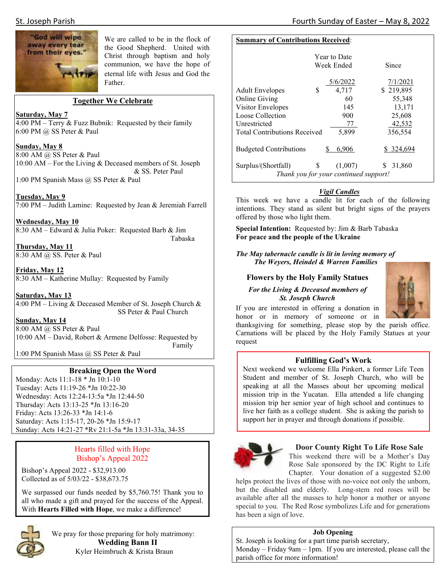

We are called to be in the flock of the Good Shepherd. United with Christ through baptism and holy communion, we have the hope of eternal life with Jesus and God the Father.

## **Together We Celebrate**

#### **Saturday, May 7**

4:00 PM – Terry & Fuzz Bubnik: Requested by their family 6:00 PM @ SS Peter & Paul

#### **Sunday, May 8**

8:00 AM @ SS Peter & Paul 10:00 AM – For the Living & Deceased members of St. Joseph & SS. Peter Paul

1:00 PM Spanish Mass @ SS Peter & Paul

**Tuesday, May 9**  7:00 PM – Judith Lamine: Requested by Jean & Jeremiah Farrell

**Wednesday, May 10**  8:30 AM – Edward & Julia Poker: Requested Barb & Jim Tabaska

**Thursday, May 11**  8:30 AM @ SS. Peter & Paul

**Friday, May 12**  8:30 AM – Katherine Mullay: Requested by Family

**Saturday, May 13**  4:00 PM – Living & Deceased Member of St. Joseph Church & SS Peter & Paul Church

#### **Sunday, May 14**

8:00 AM @ SS Peter & Paul 10:00 AM – David, Robert & Armene Delfosse: Requested by Family

1:00 PM Spanish Mass @ SS Peter & Paul

## **Breaking Open the Word**

Monday: Acts 11:1-18 \* Jn 10:1-10 Tuesday: Acts 11:19-26 \*Jn 10:22-30 Wednesday: Acts 12:24-13:5a \*Jn 12:44-50 Thursday: Acts 13:13-25 \*Jn 13:16-20 Friday: Acts 13:26-33 \*Jn 14:1-6 Saturday: Acts 1:15-17, 20-26 \*Jn 15:9-17 Sunday: Acts 14:21-27 \*Rv 21:1-5a \*Jn 13:31-33a, 34-35

# Hearts filled with Hope Bishop's Appeal 2022

Bishop's Appeal 2022 - \$32,913.00 Collected as of 5/03/22 - \$38,673.75

We surpassed our funds needed by \$5,760.75! Thank you to all who made a gift and prayed for the success of the Appeal. With **Hearts Filled with Hope**, we make a difference!



We pray for those preparing for holy matrimony:  **Wedding Bann II**  Kyler Heimbruch & Krista Braun

### **Summary of Contributions Received**:

|                                       | Year to Date<br>Week Ended |          | Since       |
|---------------------------------------|----------------------------|----------|-------------|
|                                       |                            | 5/6/2022 | 7/1/2021    |
| <b>Adult Envelopes</b>                | S                          | 4,717    | \$219,895   |
| <b>Online Giving</b>                  |                            | 60       | 55,348      |
| Visitor Envelopes                     |                            | 145      | 13,171      |
| Loose Collection                      |                            | 900      | 25,608      |
| Unrestricted                          |                            | 77       | 42,532      |
| <b>Total Contributions Received</b>   |                            | 5.899    | 356.554     |
| <b>Budgeted Contributions</b>         |                            | 6.906    | \$ 324,694  |
| Surplus/(Shortfall)                   | S                          | (1,007)  | 31,860<br>S |
| Thank you for your continued support! |                            |          |             |

# *Vigil Candles*

This week we have a candle lit for each of the following intentions. They stand as silent but bright signs of the prayers offered by those who light them.

**Special Intention:** Requested by: Jim & Barb Tabaska **For peace and the people of the Ukraine** 

*The May tabernacle candle is lit in loving memory of The Weyers, Heindel & Warren Families* 

# **Flowers by the Holy Family Statues**

*For the Living & Deceased members of St. Joseph Church*



If you are interested in offering a donation in honor or in memory of someone or in

thanksgiving for something, please stop by the parish office. Carnations will be placed by the Holy Family Statues at your request

## **Fulfilling God's Work**

Next weekend we welcome Ella Pinkert, a former Life Teen Student and member of St. Joseph Church, who will be speaking at all the Masses about her upcoming medical mission trip in the Yucatan. Ella attended a life changing mission trip her senior year of high school and continues to live her faith as a college student. She is asking the parish to support her in prayer and through donations if possible.



## **Door County Right To Life Rose Sale**

This weekend there will be a Mother's Day Rose Sale sponsored by the DC Right to Life Chapter. Your donation of a suggested \$2.00

helps protect the lives of those with no-voice not only the unborn, but the disabled and elderly. Long-stem red roses will be available after all the masses to help honor a mother or anyone special to you. The Red Rose symbolizes Life and for generations has been a sign of love.

## **Job Opening**

St. Joseph is looking for a part time parish secretary, Monday – Friday 9am – 1pm. If you are interested, please call the parish office for more information!